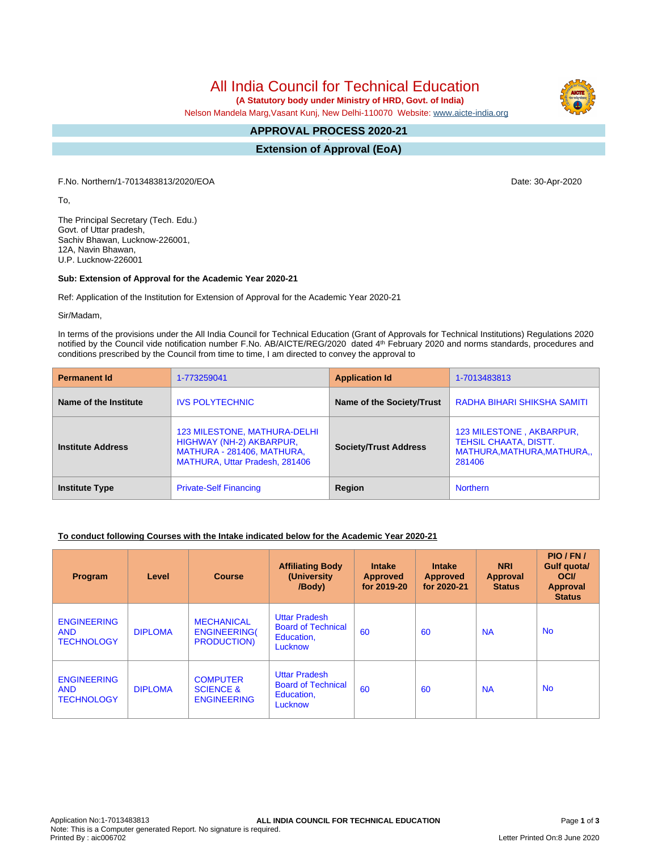# All India Council for Technical Education

 **(A Statutory body under Ministry of HRD, Govt. of India)**

Nelson Mandela Marg,Vasant Kunj, New Delhi-110070 Website: [www.aicte-india.org](http://www.aicte-india.org)

#### **APPROVAL PROCESS 2020-21 -**

**Extension of Approval (EoA)**

F.No. Northern/1-7013483813/2020/EOA Date: 30-Apr-2020

To,

The Principal Secretary (Tech. Edu.) Govt. of Uttar pradesh, Sachiv Bhawan, Lucknow-226001, 12A, Navin Bhawan, U.P. Lucknow-226001

#### **Sub: Extension of Approval for the Academic Year 2020-21**

Ref: Application of the Institution for Extension of Approval for the Academic Year 2020-21

Sir/Madam,

In terms of the provisions under the All India Council for Technical Education (Grant of Approvals for Technical Institutions) Regulations 2020 notified by the Council vide notification number F.No. AB/AICTE/REG/2020 dated 4<sup>th</sup> February 2020 and norms standards, procedures and conditions prescribed by the Council from time to time, I am directed to convey the approval to

| <b>Permanent Id</b>      | 1-773259041                                                                                                              | <b>Application Id</b>        | 1-7013483813                |  |
|--------------------------|--------------------------------------------------------------------------------------------------------------------------|------------------------------|-----------------------------|--|
| Name of the Institute    | <b>IVS POLYTECHNIC</b>                                                                                                   | Name of the Society/Trust    | RADHA BIHARI SHIKSHA SAMITI |  |
| <b>Institute Address</b> | 123 MILESTONE, MATHURA-DELHI<br>HIGHWAY (NH-2) AKBARPUR,<br>MATHURA - 281406, MATHURA,<br>MATHURA, Uttar Pradesh, 281406 | <b>Society/Trust Address</b> |                             |  |
| <b>Institute Type</b>    | <b>Private-Self Financing</b>                                                                                            | Region                       | <b>Northern</b>             |  |

#### **To conduct following Courses with the Intake indicated below for the Academic Year 2020-21**

| Program                                               | Level          | <b>Course</b>                                                  | <b>Affiliating Body</b><br>(University)<br>/Body)                          | <b>Intake</b><br><b>Approved</b><br>for 2019-20 | <b>Intake</b><br><b>Approved</b><br>for 2020-21 | <b>NRI</b><br><b>Approval</b><br><b>Status</b> | PIO/FN/<br><b>Gulf quotal</b><br><b>OCI</b><br>Approval<br><b>Status</b> |
|-------------------------------------------------------|----------------|----------------------------------------------------------------|----------------------------------------------------------------------------|-------------------------------------------------|-------------------------------------------------|------------------------------------------------|--------------------------------------------------------------------------|
| <b>ENGINEERING</b><br><b>AND</b><br><b>TECHNOLOGY</b> | <b>DIPLOMA</b> | <b>MECHANICAL</b><br><b>ENGINEERING(</b><br><b>PRODUCTION)</b> | <b>Uttar Pradesh</b><br><b>Board of Technical</b><br>Education,<br>Lucknow | 60                                              | 60                                              | <b>NA</b>                                      | <b>No</b>                                                                |
| <b>ENGINEERING</b><br><b>AND</b><br><b>TECHNOLOGY</b> | <b>DIPLOMA</b> | <b>COMPUTER</b><br><b>SCIENCE &amp;</b><br><b>ENGINEERING</b>  | <b>Uttar Pradesh</b><br><b>Board of Technical</b><br>Education,<br>Lucknow | 60                                              | 60                                              | <b>NA</b>                                      | <b>No</b>                                                                |

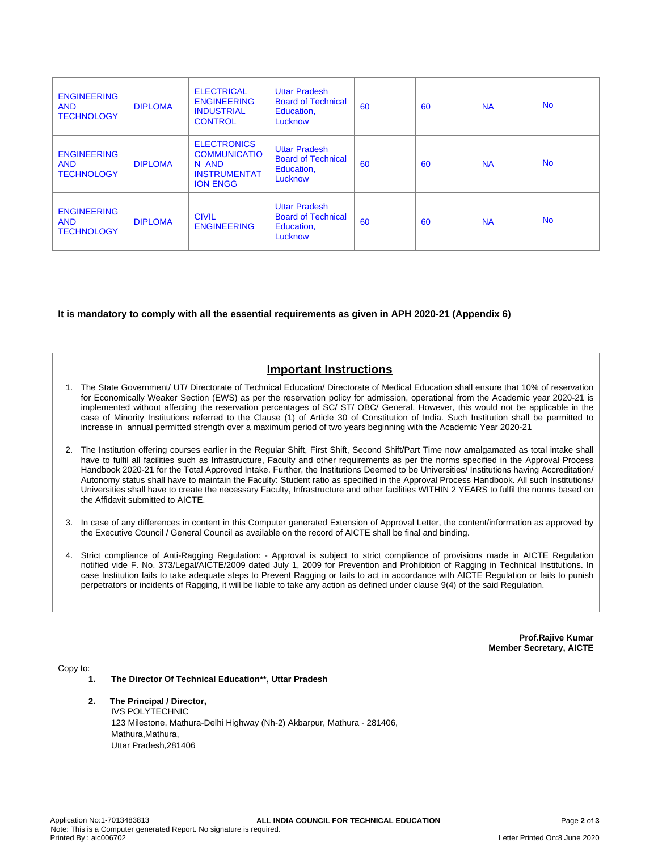| <b>ENGINEERING</b><br><b>AND</b><br><b>TECHNOLOGY</b> | <b>DIPLOMA</b> | <b>ELECTRICAL</b><br><b>ENGINEERING</b><br><b>INDUSTRIAL</b><br><b>CONTROL</b>               | <b>Uttar Pradesh</b><br><b>Board of Technical</b><br>Education,<br>Lucknow | 60 | 60 | <b>NA</b> | <b>No</b> |
|-------------------------------------------------------|----------------|----------------------------------------------------------------------------------------------|----------------------------------------------------------------------------|----|----|-----------|-----------|
| <b>ENGINEERING</b><br><b>AND</b><br><b>TECHNOLOGY</b> | <b>DIPLOMA</b> | <b>ELECTRONICS</b><br><b>COMMUNICATIO</b><br>N AND<br><b>INSTRUMENTAT</b><br><b>ION ENGG</b> | <b>Uttar Pradesh</b><br><b>Board of Technical</b><br>Education,<br>Lucknow | 60 | 60 | <b>NA</b> | <b>No</b> |
| <b>ENGINEERING</b><br><b>AND</b><br><b>TECHNOLOGY</b> | <b>DIPLOMA</b> | <b>CIVIL</b><br><b>ENGINEERING</b>                                                           | <b>Uttar Pradesh</b><br><b>Board of Technical</b><br>Education,<br>Lucknow | 60 | 60 | <b>NA</b> | <b>No</b> |

#### **It is mandatory to comply with all the essential requirements as given in APH 2020-21 (Appendix 6)**

## **Important Instructions**

- 1. The State Government/ UT/ Directorate of Technical Education/ Directorate of Medical Education shall ensure that 10% of reservation for Economically Weaker Section (EWS) as per the reservation policy for admission, operational from the Academic year 2020-21 is implemented without affecting the reservation percentages of SC/ ST/ OBC/ General. However, this would not be applicable in the case of Minority Institutions referred to the Clause (1) of Article 30 of Constitution of India. Such Institution shall be permitted to increase in annual permitted strength over a maximum period of two years beginning with the Academic Year 2020-21
- 2. The Institution offering courses earlier in the Regular Shift, First Shift, Second Shift/Part Time now amalgamated as total intake shall have to fulfil all facilities such as Infrastructure, Faculty and other requirements as per the norms specified in the Approval Process Handbook 2020-21 for the Total Approved Intake. Further, the Institutions Deemed to be Universities/ Institutions having Accreditation/ Autonomy status shall have to maintain the Faculty: Student ratio as specified in the Approval Process Handbook. All such Institutions/ Universities shall have to create the necessary Faculty, Infrastructure and other facilities WITHIN 2 YEARS to fulfil the norms based on the Affidavit submitted to AICTE.
- 3. In case of any differences in content in this Computer generated Extension of Approval Letter, the content/information as approved by the Executive Council / General Council as available on the record of AICTE shall be final and binding.
- 4. Strict compliance of Anti-Ragging Regulation: Approval is subject to strict compliance of provisions made in AICTE Regulation notified vide F. No. 373/Legal/AICTE/2009 dated July 1, 2009 for Prevention and Prohibition of Ragging in Technical Institutions. In case Institution fails to take adequate steps to Prevent Ragging or fails to act in accordance with AICTE Regulation or fails to punish perpetrators or incidents of Ragging, it will be liable to take any action as defined under clause 9(4) of the said Regulation.

**Prof.Rajive Kumar Member Secretary, AICTE**

Copy to:

- **1. The Director Of Technical Education\*\*, Uttar Pradesh**
- **2. The Principal / Director,** IVS POLYTECHNIC 123 Milestone, Mathura-Delhi Highway (Nh-2) Akbarpur, Mathura - 281406, Mathura, Mathura, Uttar Pradesh,281406